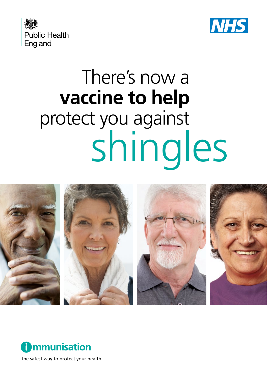



# There's now a **vaccine to help**  protect you against shingles





the safest way to protect your health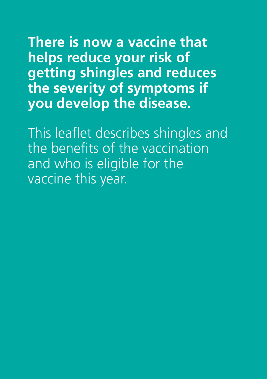**There is now a vaccine that helps reduce your risk of getting shingles and reduces the severity of symptoms if you develop the disease.**

This leaflet describes shingles and the benefits of the vaccination and who is eligible for the vaccine this year.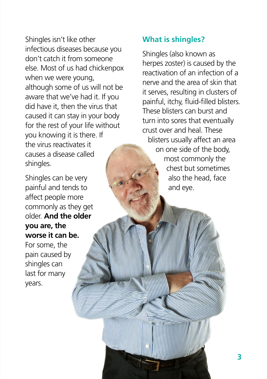Shingles isn't like other infectious diseases because you don't catch it from someone else. Most of us had chickenpox when we were young, although some of us will not be aware that we've had it. If you did have it, then the virus that caused it can stay in your body for the rest of your life without you knowing it is there. If the virus reactivates it causes a disease called shingles.

Shingles can be very painful and tends to affect people more commonly as they get older. **And the older you are, the worse it can be.** For some, the pain caused by shingles can last for many

years.

# **What is shingles?**

Shingles (also known as herpes zoster) is caused by the reactivation of an infection of a nerve and the area of skin that it serves, resulting in clusters of painful, itchy, fluid-filled blisters. These blisters can burst and turn into sores that eventually crust over and heal. These blisters usually affect an area on one side of the body, most commonly the chest but sometimes also the head, face and eye.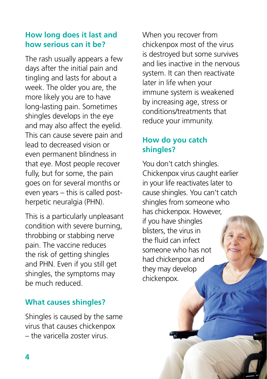# **How long does it last and how serious can it be?**

The rash usually appears a few days after the initial pain and tingling and lasts for about a week. The older you are, the more likely you are to have long-lasting pain. Sometimes shingles develops in the eye and may also affect the eyelid. This can cause severe pain and lead to decreased vision or even permanent blindness in that eye. Most people recover fully, but for some, the pain goes on for several months or even years – this is called postherpetic neuralgia (PHN).

This is a particularly unpleasant condition with severe burning, throbbing or stabbing nerve pain. The vaccine reduces the risk of getting shingles and PHN. Even if you still get shingles, the symptoms may be much reduced.

# **What causes shingles?**

Shingles is caused by the same virus that causes chickenpox – the varicella zoster virus.

When you recover from chickenpox most of the virus is destroyed but some survives and lies inactive in the nervous system. It can then reactivate later in life when your immune system is weakened by increasing age, stress or conditions/treatments that reduce your immunity.

# **How do you catch shingles?**

You don't catch shingles. Chickenpox virus caught earlier in your life reactivates later to cause shingles. You can't catch shingles from someone who has chickenpox. However, if you have shingles blisters, the virus in the fluid can infect someone who has not had chickenpox and they may develop chickenpox.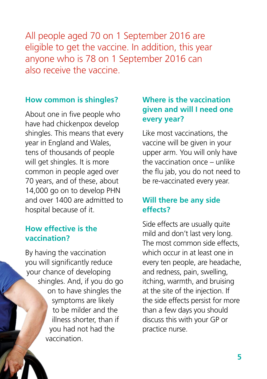All people aged 70 on 1 September 2016 are eligible to get the vaccine. In addition, this year anyone who is 78 on 1 September 2016 can also receive the vaccine.

#### **How common is shingles?**

About one in five people who have had chickenpox develop shingles. This means that every year in England and Wales, tens of thousands of people will get shingles. It is more common in people aged over 70 years, and of these, about 14,000 go on to develop PHN and over 1400 are admitted to hospital because of it.

#### **How effective is the vaccination?**

By having the vaccination you will significantly reduce your chance of developing shingles. And, if you do go on to have shingles the symptoms are likely to be milder and the illness shorter, than if you had not had the vaccination.

# **Where is the vaccination given and will I need one every year?**

Like most vaccinations, the vaccine will be given in your upper arm. You will only have the vaccination once – unlike the flu jab, you do not need to be re-vaccinated every year.

# **Will there be any side effects?**

Side effects are usually quite mild and don't last very long. The most common side effects, which occur in at least one in every ten people, are headache, and redness, pain, swelling, itching, warmth, and bruising at the site of the injection. If the side effects persist for more than a few days you should discuss this with your GP or practice nurse.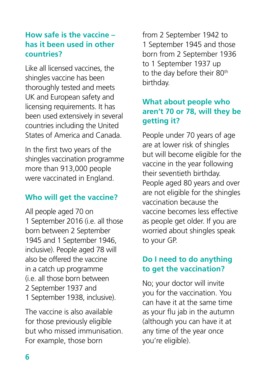# **How safe is the vaccine – has it been used in other countries?**

Like all licensed vaccines, the shingles vaccine has been thoroughly tested and meets UK and European safety and licensing requirements. It has been used extensively in several countries including the United States of America and Canada.

In the first two years of the shingles vaccination programme more than 913,000 people were vaccinated in England.

# **Who will get the vaccine?**

All people aged 70 on 1 September 2016 (i.e. all those born between 2 September 1945 and 1 September 1946, inclusive). People aged 78 will also be offered the vaccine in a catch up programme (i.e. all those born between 2 September 1937 and 1 September 1938, inclusive).

The vaccine is also available for those previously eligible but who missed immunisation. For example, those born

from 2 September 1942 to 1 September 1945 and those born from 2 September 1936 to 1 September 1937 up to the day before their 80<sup>th</sup> birthday.

# **What about people who aren't 70 or 78, will they be getting it?**

People under 70 years of age are at lower risk of shingles but will become eligible for the vaccine in the year following their seventieth birthday. People aged 80 years and over are not eligible for the shingles vaccination because the vaccine becomes less effective as people get older. If you are worried about shingles speak to your GP.

### **Do I need to do anything to get the vaccination?**

No; your doctor will invite you for the vaccination. You can have it at the same time as your flu jab in the autumn (although you can have it at any time of the year once you're eligible).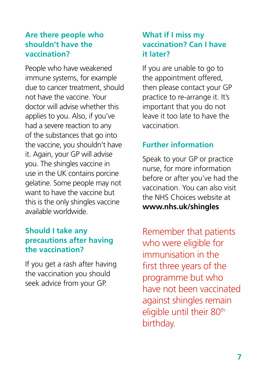### **Are there people who shouldn't have the vaccination?**

People who have weakened immune systems, for example due to cancer treatment, should not have the vaccine. Your doctor will advise whether this applies to you. Also, if you've had a severe reaction to any of the substances that go into the vaccine, you shouldn't have it. Again, your GP will advise you. The shingles vaccine in use in the UK contains porcine gelatine. Some people may not want to have the vaccine but this is the only shingles vaccine available worldwide.

# **Should I take any precautions after having the vaccination?**

If you get a rash after having the vaccination you should seek advice from your GP.

# **What if I miss my vaccination? Can I have it later?**

If you are unable to go to the appointment offered, then please contact your GP practice to re-arrange it. It's important that you do not leave it too late to have the vaccination.

# **Further information**

Speak to your GP or practice nurse, for more information before or after you've had the vaccination. You can also visit the NHS Choices website at **www.nhs.uk/shingles**

Remember that patients who were eligible for immunisation in the first three years of the programme but who have not been vaccinated against shingles remain eligible until their 80<sup>th</sup> birthday.